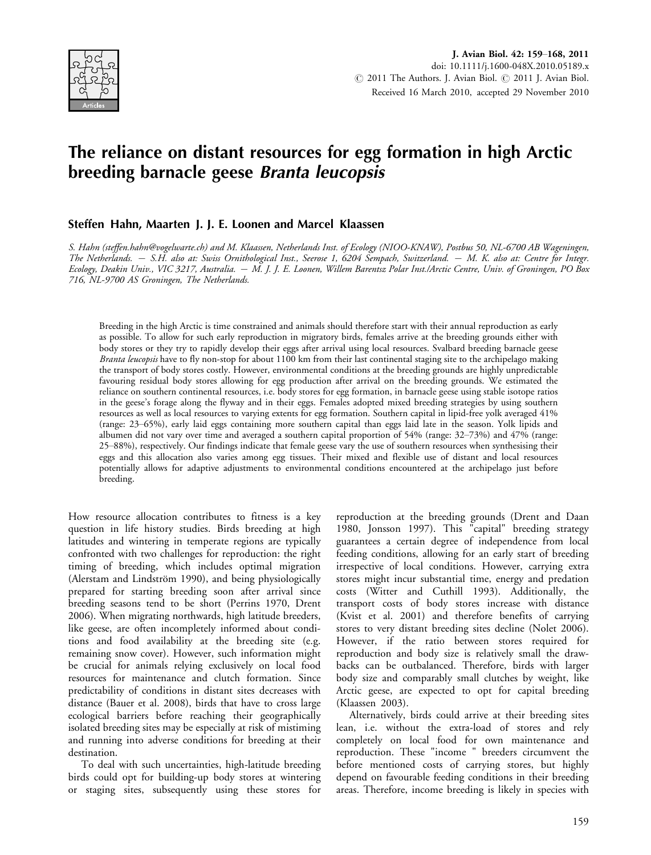

# The reliance on distant resources for egg formation in high Arctic breeding barnacle geese Branta leucopsis

## Steffen Hahn, Maarten J. J. E. Loonen and Marcel Klaassen

S. Hahn (steffen.hahn@vogelwarte.ch) and M. Klaassen, Netherlands Inst. of Ecology (NIOO-KNAW), Postbus 50, NL-6700 AB Wageningen, The Netherlands. – S.H. also at: Swiss Ornithological Inst., Seerose 1, 6204 Sempach, Switzerland. – M. K. also at: Centre for Integr. Ecology, Deakin Univ., VIC 3217, Australia. – M. J. J. E. Loonen, Willem Barentsz Polar Inst./Arctic Centre, Univ. of Groningen, PO Box 716, NL-9700 AS Groningen, The Netherlands.

Breeding in the high Arctic is time constrained and animals should therefore start with their annual reproduction as early as possible. To allow for such early reproduction in migratory birds, females arrive at the breeding grounds either with body stores or they try to rapidly develop their eggs after arrival using local resources. Svalbard breeding barnacle geese Branta leucopsis have to fly non-stop for about 1100 km from their last continental staging site to the archipelago making the transport of body stores costly. However, environmental conditions at the breeding grounds are highly unpredictable favouring residual body stores allowing for egg production after arrival on the breeding grounds. We estimated the reliance on southern continental resources, i.e. body stores for egg formation, in barnacle geese using stable isotope ratios in the geese's forage along the flyway and in their eggs. Females adopted mixed breeding strategies by using southern resources as well as local resources to varying extents for egg formation. Southern capital in lipid-free yolk averaged 41% (range: 2365%), early laid eggs containing more southern capital than eggs laid late in the season. Yolk lipids and albumen did not vary over time and averaged a southern capital proportion of 54% (range: 32–73%) and 47% (range: 2588%), respectively. Our findings indicate that female geese vary the use of southern resources when synthesising their eggs and this allocation also varies among egg tissues. Their mixed and flexible use of distant and local resources potentially allows for adaptive adjustments to environmental conditions encountered at the archipelago just before breeding.

How resource allocation contributes to fitness is a key question in life history studies. Birds breeding at high latitudes and wintering in temperate regions are typically confronted with two challenges for reproduction: the right timing of breeding, which includes optimal migration (Alerstam and Lindström 1990), and being physiologically prepared for starting breeding soon after arrival since breeding seasons tend to be short (Perrins 1970, Drent 2006). When migrating northwards, high latitude breeders, like geese, are often incompletely informed about conditions and food availability at the breeding site (e.g. remaining snow cover). However, such information might be crucial for animals relying exclusively on local food resources for maintenance and clutch formation. Since predictability of conditions in distant sites decreases with distance (Bauer et al. 2008), birds that have to cross large ecological barriers before reaching their geographically isolated breeding sites may be especially at risk of mistiming and running into adverse conditions for breeding at their destination.

To deal with such uncertainties, high-latitude breeding birds could opt for building-up body stores at wintering or staging sites, subsequently using these stores for reproduction at the breeding grounds (Drent and Daan 1980, Jonsson 1997). This "capital" breeding strategy guarantees a certain degree of independence from local feeding conditions, allowing for an early start of breeding irrespective of local conditions. However, carrying extra stores might incur substantial time, energy and predation costs (Witter and Cuthill 1993). Additionally, the transport costs of body stores increase with distance (Kvist et al. 2001) and therefore benefits of carrying stores to very distant breeding sites decline (Nolet 2006). However, if the ratio between stores required for reproduction and body size is relatively small the drawbacks can be outbalanced. Therefore, birds with larger body size and comparably small clutches by weight, like Arctic geese, are expected to opt for capital breeding (Klaassen 2003).

Alternatively, birds could arrive at their breeding sites lean, i.e. without the extra-load of stores and rely completely on local food for own maintenance and reproduction. These "income " breeders circumvent the before mentioned costs of carrying stores, but highly depend on favourable feeding conditions in their breeding areas. Therefore, income breeding is likely in species with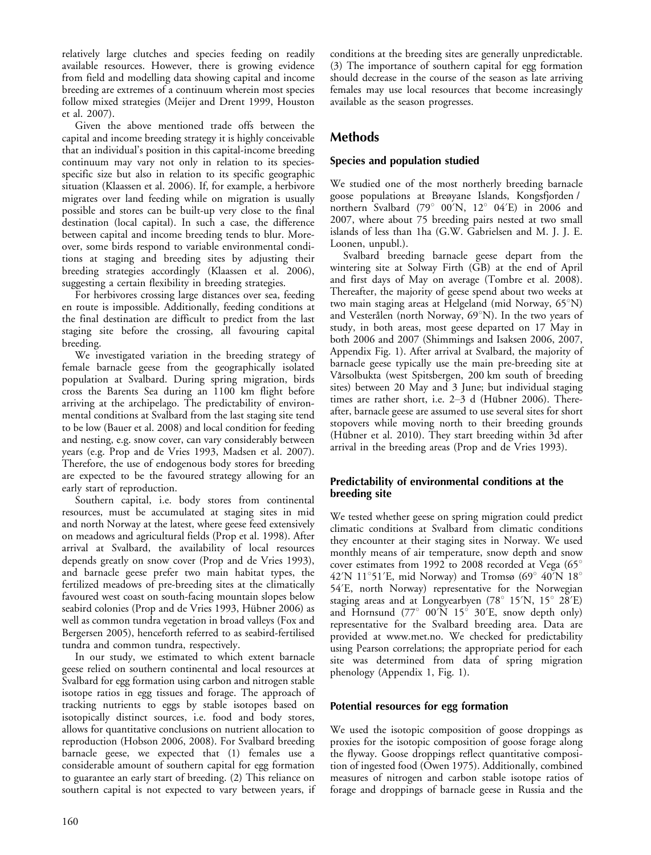relatively large clutches and species feeding on readily available resources. However, there is growing evidence from field and modelling data showing capital and income breeding are extremes of a continuum wherein most species follow mixed strategies (Meijer and Drent 1999, Houston et al. 2007).

Given the above mentioned trade offs between the capital and income breeding strategy it is highly conceivable that an individual's position in this capital-income breeding continuum may vary not only in relation to its speciesspecific size but also in relation to its specific geographic situation (Klaassen et al. 2006). If, for example, a herbivore migrates over land feeding while on migration is usually possible and stores can be built-up very close to the final destination (local capital). In such a case, the difference between capital and income breeding tends to blur. Moreover, some birds respond to variable environmental conditions at staging and breeding sites by adjusting their breeding strategies accordingly (Klaassen et al. 2006), suggesting a certain flexibility in breeding strategies.

For herbivores crossing large distances over sea, feeding en route is impossible. Additionally, feeding conditions at the final destination are difficult to predict from the last staging site before the crossing, all favouring capital breeding.

We investigated variation in the breeding strategy of female barnacle geese from the geographically isolated population at Svalbard. During spring migration, birds cross the Barents Sea during an 1100 km flight before arriving at the archipelago. The predictability of environmental conditions at Svalbard from the last staging site tend to be low (Bauer et al. 2008) and local condition for feeding and nesting, e.g. snow cover, can vary considerably between years (e.g. Prop and de Vries 1993, Madsen et al. 2007). Therefore, the use of endogenous body stores for breeding are expected to be the favoured strategy allowing for an early start of reproduction.

Southern capital, i.e. body stores from continental resources, must be accumulated at staging sites in mid and north Norway at the latest, where geese feed extensively on meadows and agricultural fields (Prop et al. 1998). After arrival at Svalbard, the availability of local resources depends greatly on snow cover (Prop and de Vries 1993), and barnacle geese prefer two main habitat types, the fertilized meadows of pre-breeding sites at the climatically favoured west coast on south-facing mountain slopes below seabird colonies (Prop and de Vries 1993, Hübner 2006) as well as common tundra vegetation in broad valleys (Fox and Bergersen 2005), henceforth referred to as seabird-fertilised tundra and common tundra, respectively.

In our study, we estimated to which extent barnacle geese relied on southern continental and local resources at Svalbard for egg formation using carbon and nitrogen stable isotope ratios in egg tissues and forage. The approach of tracking nutrients to eggs by stable isotopes based on isotopically distinct sources, i.e. food and body stores, allows for quantitative conclusions on nutrient allocation to reproduction (Hobson 2006, 2008). For Svalbard breeding barnacle geese, we expected that (1) females use a considerable amount of southern capital for egg formation to guarantee an early start of breeding. (2) This reliance on southern capital is not expected to vary between years, if conditions at the breeding sites are generally unpredictable. (3) The importance of southern capital for egg formation should decrease in the course of the season as late arriving females may use local resources that become increasingly available as the season progresses.

# Methods

## Species and population studied

We studied one of the most northerly breeding barnacle goose populations at Breøyane Islands, Kongsfjorden / northern Svalbard (79 $^{\circ}$  00'N, 12 $^{\circ}$  04'E) in 2006 and 2007, where about 75 breeding pairs nested at two small islands of less than 1ha (G.W. Gabrielsen and M. J. J. E. Loonen, unpubl.).

Svalbard breeding barnacle geese depart from the wintering site at Solway Firth (GB) at the end of April and first days of May on average (Tombre et al. 2008). Thereafter, the majority of geese spend about two weeks at two main staging areas at Helgeland (mid Norway, 65°N) and Vesterålen (north Norway,  $69^{\circ}$ N). In the two years of study, in both areas, most geese departed on 17 May in both 2006 and 2007 (Shimmings and Isaksen 2006, 2007, Appendix Fig. 1). After arrival at Svalbard, the majority of barnacle geese typically use the main pre-breeding site at Vårsolbukta (west Spitsbergen, 200 km south of breeding sites) between 20 May and 3 June; but individual staging times are rather short, i.e.  $2-3$  d (Hübner 2006). Thereafter, barnacle geese are assumed to use several sites for short stopovers while moving north to their breeding grounds (Hübner et al. 2010). They start breeding within 3d after arrival in the breeding areas (Prop and de Vries 1993).

## Predictability of environmental conditions at the breeding site

We tested whether geese on spring migration could predict climatic conditions at Svalbard from climatic conditions they encounter at their staging sites in Norway. We used monthly means of air temperature, snow depth and snow cover estimates from 1992 to 2008 recorded at Vega  $(65^{\circ}$ 42'N 11°51'E, mid Norway) and Tromsø (69° 40'N 18° 54?E, north Norway) representative for the Norwegian staging areas and at Longyearbyen ( $78^\circ$  15<sup> $\prime$ </sup>N, 15 $\circ$  28 $\prime$ E) and Hornsund (77 $\degree$  00'N 15 $\degree$  30'E, snow depth only) representative for the Svalbard breeding area. Data are provided at<www.met.no>. We checked for predictability using Pearson correlations; the appropriate period for each site was determined from data of spring migration phenology (Appendix 1, Fig. 1).

## Potential resources for egg formation

We used the isotopic composition of goose droppings as proxies for the isotopic composition of goose forage along the flyway. Goose droppings reflect quantitative composition of ingested food (Owen 1975). Additionally, combined measures of nitrogen and carbon stable isotope ratios of forage and droppings of barnacle geese in Russia and the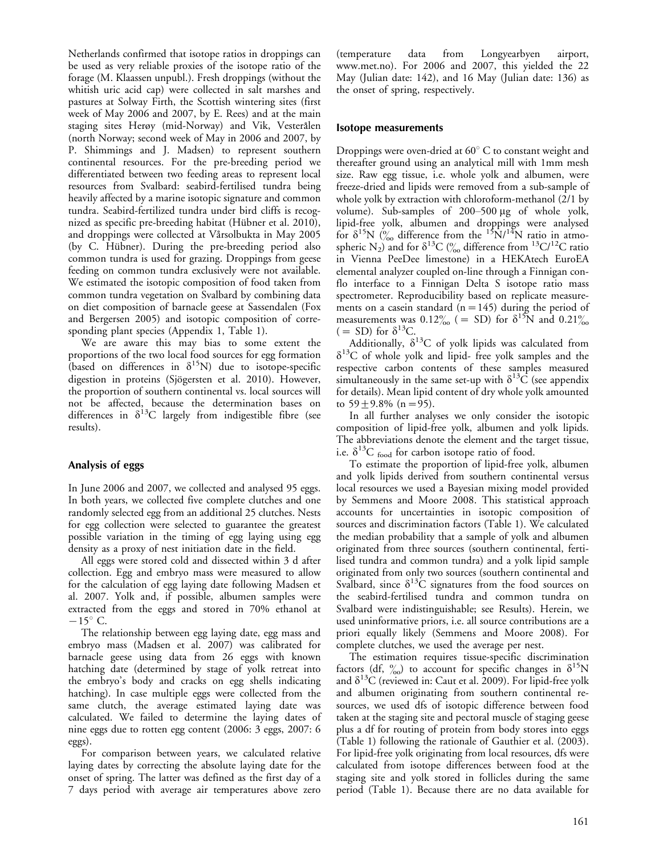Netherlands confirmed that isotope ratios in droppings can be used as very reliable proxies of the isotope ratio of the forage (M. Klaassen unpubl.). Fresh droppings (without the whitish uric acid cap) were collected in salt marshes and pastures at Solway Firth, the Scottish wintering sites (first week of May 2006 and 2007, by E. Rees) and at the main staging sites Herøy (mid-Norway) and Vik, Vesterålen (north Norway; second week of May in 2006 and 2007, by P. Shimmings and J. Madsen) to represent southern continental resources. For the pre-breeding period we differentiated between two feeding areas to represent local resources from Svalbard: seabird-fertilised tundra being heavily affected by a marine isotopic signature and common tundra. Seabird-fertilized tundra under bird cliffs is recognized as specific pre-breeding habitat (Hübner et al. 2010), and droppings were collected at Vårsolbukta in May 2005 (by C. Hübner). During the pre-breeding period also common tundra is used for grazing. Droppings from geese feeding on common tundra exclusively were not available. We estimated the isotopic composition of food taken from common tundra vegetation on Svalbard by combining data on diet composition of barnacle geese at Sassendalen (Fox and Bergersen 2005) and isotopic composition of corresponding plant species (Appendix 1, Table 1).

We are aware this may bias to some extent the proportions of the two local food sources for egg formation (based on differences in  $\delta^{15}N$ ) due to isotope-specific digestion in proteins (Sjögersten et al. 2010). However, the proportion of southern continental vs. local sources will not be affected, because the determination bases on differences in  $\delta^{13}C$  largely from indigestible fibre (see results).

#### Analysis of eggs

In June 2006 and 2007, we collected and analysed 95 eggs. In both years, we collected five complete clutches and one randomly selected egg from an additional 25 clutches. Nests for egg collection were selected to guarantee the greatest possible variation in the timing of egg laying using egg density as a proxy of nest initiation date in the field.

All eggs were stored cold and dissected within 3 d after collection. Egg and embryo mass were measured to allow for the calculation of egg laying date following Madsen et al. 2007. Yolk and, if possible, albumen samples were extracted from the eggs and stored in 70% ethanol at  $-15^{\circ}$  C.

The relationship between egg laying date, egg mass and embryo mass (Madsen et al. 2007) was calibrated for barnacle geese using data from 26 eggs with known hatching date (determined by stage of yolk retreat into the embryo's body and cracks on egg shells indicating hatching). In case multiple eggs were collected from the same clutch, the average estimated laying date was calculated. We failed to determine the laying dates of nine eggs due to rotten egg content (2006: 3 eggs, 2007: 6 eggs).

For comparison between years, we calculated relative laying dates by correcting the absolute laying date for the onset of spring. The latter was defined as the first day of a 7 days period with average air temperatures above zero

(temperature data from Longyearbyen airport, <www.met.no>). For 2006 and 2007, this yielded the 22 May (Julian date: 142), and 16 May (Julian date: 136) as the onset of spring, respectively.

#### Isotope measurements

Droppings were oven-dried at  $60^{\circ}$  C to constant weight and thereafter ground using an analytical mill with 1mm mesh size. Raw egg tissue, i.e. whole yolk and albumen, were freeze-dried and lipids were removed from a sub-sample of whole yolk by extraction with chloroform-methanol (2/1 by volume). Sub-samples of 200-500 µg of whole yolk, lipid-free yolk, albumen and droppings were analysed for  $\delta^{15}N$  (% difference from the  $15N/14N$  ratio in atmospheric N<sub>2</sub>) and for  $\delta^{13}C$  ( $\frac{\%}{\%}$  difference from  $^{13}C/^{12}C$  ratio in Vienna PeeDee limestone) in a HEKAtech EuroEA elemental analyzer coupled on-line through a Finnigan conflo interface to a Finnigan Delta S isotope ratio mass spectrometer. Reproducibility based on replicate measurements on a casein standard  $(n=145)$  during the period of measurements was  $0.12\%$  ( = SD) for  $\delta^{15}$ N and  $0.21\%$  $( = SD)$  for  $\delta^{13}C$ .

Additionally,  $\delta^{13}C$  of yolk lipids was calculated from  $\delta^{13}$ C of whole yolk and lipid- free yolk samples and the respective carbon contents of these samples measured simultaneously in the same set-up with  $\delta^{13}$ C (see appendix for details). Mean lipid content of dry whole yolk amounted to  $59 + 9.8\%$  (n = 95).

In all further analyses we only consider the isotopic composition of lipid-free yolk, albumen and yolk lipids. The abbreviations denote the element and the target tissue, i.e.  $\delta^{13}C$  food for carbon isotope ratio of food.

To estimate the proportion of lipid-free yolk, albumen and yolk lipids derived from southern continental versus local resources we used a Bayesian mixing model provided by Semmens and Moore 2008. This statistical approach accounts for uncertainties in isotopic composition of sources and discrimination factors (Table 1). We calculated the median probability that a sample of yolk and albumen originated from three sources (southern continental, fertilised tundra and common tundra) and a yolk lipid sample originated from only two sources (southern continental and Svalbard, since  $\delta^{13}$ C signatures from the food sources on the seabird-fertilised tundra and common tundra on Svalbard were indistinguishable; see Results). Herein, we used uninformative priors, i.e. all source contributions are a priori equally likely (Semmens and Moore 2008). For complete clutches, we used the average per nest.

The estimation requires tissue-specific discrimination factors (df,  $\frac{\partial}{\partial 0}$ ) to account for specific changes in  $\delta^{15}N$ and  $\delta^{13}$ C (reviewed in: Caut et al. 2009). For lipid-free yolk and albumen originating from southern continental resources, we used dfs of isotopic difference between food taken at the staging site and pectoral muscle of staging geese plus a df for routing of protein from body stores into eggs (Table 1) following the rationale of Gauthier et al. (2003). For lipid-free yolk originating from local resources, dfs were calculated from isotope differences between food at the staging site and yolk stored in follicles during the same period (Table 1). Because there are no data available for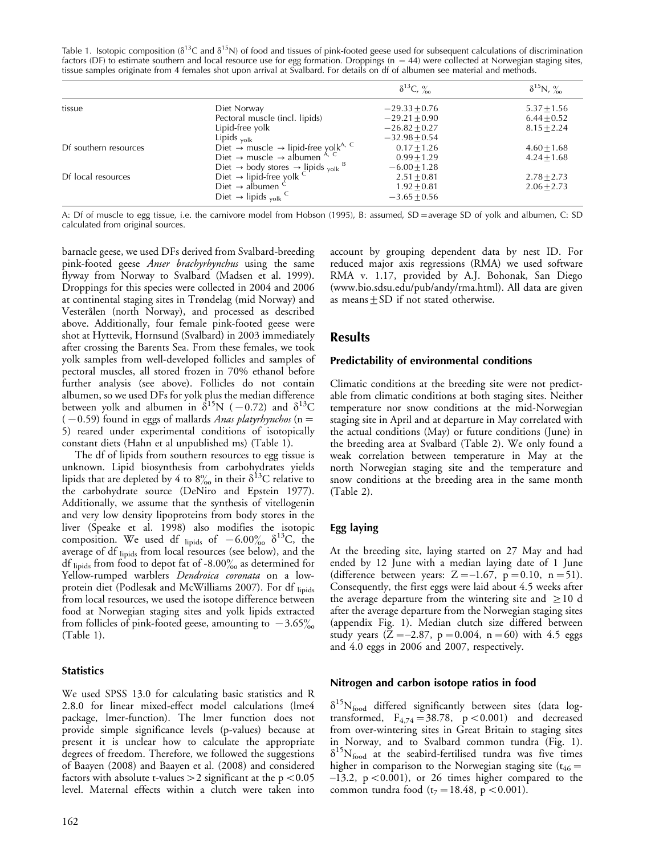Table 1. Isotopic composition ( $\delta^{13}C$  and  $\delta^{15}N$ ) of food and tissues of pink-footed geese used for subsequent calculations of discrimination factors (DF) to estimate southern and local resource use for egg formation. Droppings ( $n = 44$ ) were collected at Norwegian staging sites, tissue samples originate from 4 females shot upon arrival at Svalbard. For details on df of albumen see material and methods.

|                       |                                                                                  | $\delta^{13}C, \frac{9}{20}$ | $\delta^{15}N, \frac{9}{20}$ |
|-----------------------|----------------------------------------------------------------------------------|------------------------------|------------------------------|
| tissue                | Diet Norway                                                                      | $-29.33 + 0.76$              | $5.37 \pm 1.56$              |
|                       | Pectoral muscle (incl. lipids)                                                   | $-29.21 + 0.90$              | $6.44 + 0.52$                |
|                       | Lipid-free yolk                                                                  | $-26.82 + 0.27$              | $8.15 + 2.24$                |
|                       | Lipids $_{\text{yolk}}$                                                          | $-32.98 + 0.54$              |                              |
| Df southern resources | Diet $\rightarrow$ muscle $\rightarrow$ lipid-free yolk <sup>A, C</sup>          | $0.17 + 1.26$                | $4.60 + 1.68$                |
|                       | Diet $\rightarrow$ muscle $\rightarrow$ albumen <sup>A, C</sup>                  | $0.99 + 1.29$                | $4.24 + 1.68$                |
|                       | Diet $\rightarrow$ body stores $\rightarrow$ lipids <sub>yolk</sub> <sup>B</sup> | $-6.00 + 1.28$               |                              |
| Df local resources    | Diet $\rightarrow$ lipid-free yolk $\leq$                                        | $2.51 + 0.81$                | $2.78 + 2.73$                |
|                       | Diet $\rightarrow$ albumen                                                       | $1.92 + 0.81$                | $2.06 + 2.73$                |
|                       | Diet $\rightarrow$ lipids <sub>yolk</sub>                                        | $-3.65 + 0.56$               |                              |

A: Df of muscle to egg tissue, i.e. the carnivore model from Hobson (1995), B: assumed, SD = average SD of yolk and albumen, C: SD calculated from original sources.

barnacle geese, we used DFs derived from Svalbard-breeding pink-footed geese Anser brachyrhynchus using the same flyway from Norway to Svalbard (Madsen et al. 1999). Droppings for this species were collected in 2004 and 2006 at continental staging sites in Trøndelag (mid Norway) and Vesterålen (north Norway), and processed as described above. Additionally, four female pink-footed geese were shot at Hyttevik, Hornsund (Svalbard) in 2003 immediately after crossing the Barents Sea. From these females, we took yolk samples from well-developed follicles and samples of pectoral muscles, all stored frozen in 70% ethanol before further analysis (see above). Follicles do not contain albumen, so we used DFs for yolk plus the median difference between yolk and albumen in  $\delta^{15}N$  (  $-0.72$ ) and  $\delta^{13}C$  $(-0.59)$  found in eggs of mallards Anas platyrhynchos (n = 5) reared under experimental conditions of isotopically constant diets (Hahn et al unpublished ms) (Table 1).

The df of lipids from southern resources to egg tissue is unknown. Lipid biosynthesis from carbohydrates yields lipids that are depleted by 4 to  $8\%$  in their  $\delta^{13}$ C relative to the carbohydrate source (DeNiro and Epstein 1977). Additionally, we assume that the synthesis of vitellogenin and very low density lipoproteins from body stores in the liver (Speake et al. 1998) also modifies the isotopic composition. We used df  $_{lipids}$  of  $-6.00\%$   $\delta^{13}$ C, the average of df lipids from local resources (see below), and the df lipids from food to depot fat of -8.00 $\frac{\%}{\%}$  as determined for Yellow-rumped warblers *Dendroica coronata* on a lowprotein diet (Podlesak and McWilliams 2007). For df lipids from local resources, we used the isotope difference between food at Norwegian staging sites and yolk lipids extracted from follicles of pink-footed geese, amounting to  $-3.65\%$ (Table 1).

## **Statistics**

We used SPSS 13.0 for calculating basic statistics and R 2.8.0 for linear mixed-effect model calculations (lme4 package, lmer-function). The lmer function does not provide simple significance levels (p-values) because at present it is unclear how to calculate the appropriate degrees of freedom. Therefore, we followed the suggestions of Baayen (2008) and Baayen et al. (2008) and considered factors with absolute t-values  $>$  2 significant at the p  $<$  0.05  $\,$ level. Maternal effects within a clutch were taken into

account by grouping dependent data by nest ID. For reduced major axis regressions (RMA) we used software RMA v. 1.17, provided by A.J. Bohonak, San Diego (www.bio.sdsu.edu/pub/andy/rma.html). All data are given as means  $\pm$  SD if not stated otherwise.

## Results

#### Predictability of environmental conditions

Climatic conditions at the breeding site were not predictable from climatic conditions at both staging sites. Neither temperature nor snow conditions at the mid-Norwegian staging site in April and at departure in May correlated with the actual conditions (May) or future conditions (June) in the breeding area at Svalbard (Table 2). We only found a weak correlation between temperature in May at the north Norwegian staging site and the temperature and snow conditions at the breeding area in the same month (Table 2).

## Egg laying

At the breeding site, laying started on 27 May and had ended by 12 June with a median laying date of 1 June (difference between years:  $Z = -1.67$ ,  $p = 0.10$ ,  $n = 51$ ). Consequently, the first eggs were laid about 4.5 weeks after the average departure from the wintering site and  $\geq 10$  d after the average departure from the Norwegian staging sites (appendix Fig. 1). Median clutch size differed between study years  $(Z=-2.87, p=0.004, n=60)$  with 4.5 eggs and 4.0 eggs in 2006 and 2007, respectively.

#### Nitrogen and carbon isotope ratios in food

 $\delta^{15}N_{\rm food}$  differed significantly between sites (data logtransformed,  $F_{4,74} = 38.78$ , p < 0.001) and decreased from over-wintering sites in Great Britain to staging sites in Norway, and to Svalbard common tundra (Fig. 1).  $\delta^{15}N_{\text{food}}$  at the seabird-fertilised tundra was five times higher in comparison to the Norwegian staging site ( $t_{46}$  =  $-13.2$ ,  $p < 0.001$ ), or 26 times higher compared to the common tundra food  $(t_7=18.48, p<0.001)$ .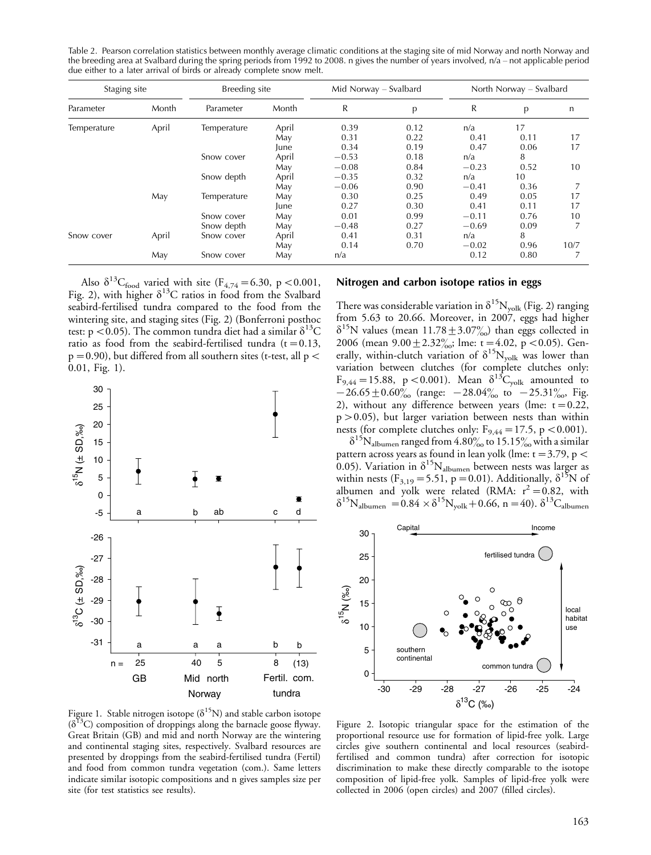Table 2. Pearson correlation statistics between monthly average climatic conditions at the staging site of mid Norway and north Norway and the breeding area at Svalbard during the spring periods from 1992 to 2008. n gives the number of years involved,  $n/a$  – not applicable period due either to a later arrival of birds or already complete snow melt.

| Staging site |       | Breeding site |       | Mid Norway – Svalbard |      | North Norway – Svalbard |      |      |
|--------------|-------|---------------|-------|-----------------------|------|-------------------------|------|------|
| Parameter    | Month | Parameter     | Month | R                     | p    | R                       | p    | n    |
| Temperature  | April | Temperature   | April | 0.39                  | 0.12 | n/a                     | 17   |      |
|              |       |               | May   | 0.31                  | 0.22 | 0.41                    | 0.11 | 17   |
|              |       |               | June  | 0.34                  | 0.19 | 0.47                    | 0.06 | 17   |
|              |       | Snow cover    | April | $-0.53$               | 0.18 | n/a                     | 8    |      |
|              |       |               | May   | $-0.08$               | 0.84 | $-0.23$                 | 0.52 | 10   |
|              |       | Snow depth    | April | $-0.35$               | 0.32 | n/a                     | 10   |      |
|              |       |               | May   | $-0.06$               | 0.90 | $-0.41$                 | 0.36 |      |
|              | May   | Temperature   | May   | 0.30                  | 0.25 | 0.49                    | 0.05 | 17   |
|              |       |               | June  | 0.27                  | 0.30 | 0.41                    | 0.11 | 17   |
|              |       | Snow cover    | May   | 0.01                  | 0.99 | $-0.11$                 | 0.76 | 10   |
|              |       | Snow depth    | May   | $-0.48$               | 0.27 | $-0.69$                 | 0.09 |      |
| Snow cover   | April | Snow cover    | April | 0.41                  | 0.31 | n/a                     | 8    |      |
|              |       |               | May   | 0.14                  | 0.70 | $-0.02$                 | 0.96 | 10/7 |
|              | May   | Snow cover    | May   | n/a                   |      | 0.12                    | 0.80 |      |

Also  $\delta^{13}C_{\text{food}}$  varied with site (F<sub>4,74</sub> = 6.30, p < 0.001, Fig. 2), with higher  $\delta^{13}C$  ratios in food from the Svalbard seabird-fertilised tundra compared to the food from the wintering site, and staging sites (Fig. 2) (Bonferroni posthoc test: p < 0.05). The common tundra diet had a similar  $\delta^{13}C$ ratio as food from the seabird-fertilised tundra ( $t=0.13$ ,  $p=0.90$ ), but differed from all southern sites (t-test, all  $p\leq$ 0.01, Fig. 1).



Figure 1. Stable nitrogen isotope ( $\delta^{15}$ N) and stable carbon isotope  $(\delta^{13}C)$  composition of droppings along the barnacle goose flyway. Great Britain (GB) and mid and north Norway are the wintering and continental staging sites, respectively. Svalbard resources are presented by droppings from the seabird-fertilised tundra (Fertil) and food from common tundra vegetation (com.). Same letters indicate similar isotopic compositions and n gives samples size per site (for test statistics see results).

#### Nitrogen and carbon isotope ratios in eggs

There was considerable variation in  $\delta^{15}N_{\text{volk}}$  (Fig. 2) ranging from 5.63 to 20.66. Moreover, in 2007, eggs had higher  $\delta^{15}$ N values (mean 11.78  $\pm$  3.07%) than eggs collected in 2006 (mean  $9.00 \pm 2.32\%$ ; lme: t = 4.02, p < 0.05). Generally, within-clutch variation of  $\delta^{15}N_{\text{volk}}$  was lower than variation between clutches (for complete clutches only:  $F_{9,44} = 15.88$ , p < 0.001). Mean  $\delta^{13}C_{\text{volk}}$  amounted to  $-26.65 \pm 0.60^{\circ}_{00}$  (range:  $-28.04^{\circ}_{00}$  to  $-25.31^{\circ}_{00}$ , Fig. 2), without any difference between years (lme:  $t=0.22$ , p-0.05), but larger variation between nests than within nests (for complete clutches only:  $F_{9,44} = 17.5$ , p < 0.001).

 $\delta^{15}N_{\text{albumen}}$  ranged from 4.80% to 15.15% with a similar pattern across years as found in lean yolk (lme:  $t = 3.79$ , p < 0.05). Variation in  $\delta^{15}N_{\text{albumen}}$  between nests was larger as within nests (F<sub>3,19</sub> = 5.51, p = 0.01). Additionally,  $\delta^{15}N$  of albumen and yolk were related (RMA:  $r^2 = 0.82$ , with  $\delta^{15}N_{\text{albumen}} = 0.84 \times \delta^{15}N_{\text{volk}} + 0.66$ , n = 40).  $\delta^{13}C_{\text{albumen}}$ 



Figure 2. Isotopic triangular space for the estimation of the proportional resource use for formation of lipid-free yolk. Large circles give southern continental and local resources (seabirdfertilised and common tundra) after correction for isotopic discrimination to make these directly comparable to the isotope composition of lipid-free yolk. Samples of lipid-free yolk were collected in 2006 (open circles) and 2007 (filled circles).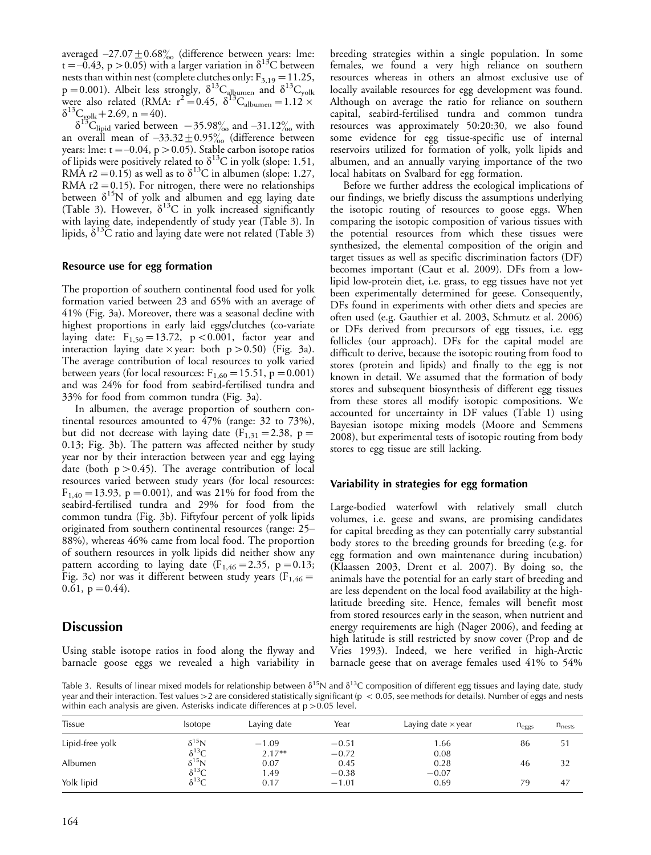averaged  $-27.07 \pm 0.68 \%$  (difference between years: lme: t =–0.43, p > 0.05) with a larger variation in  $\delta^{13}$ C between nests than within nest (complete clutches only:  $F_{3,19} = 11.25$ ,  $p=0.001$ ). Albeit less strongly,  $\delta^{13}C_{\text{alhuman}}$  and  $\delta^{13}C_{\text{yolk}}$ were also related (RMA:  $r^2 = 0.45$ ,  $\delta^{13}C_{\text{albumen}} = 1.12 \times$  $\delta^{13}C_{\text{yolk}}+2.69$ , n = 40).

 $\delta^{13}$ C<sub>lipid</sub> varied between  $-35.98\%$  and  $-31.12\%$  with an overall mean of  $-33.32 \pm 0.95\%$  (difference between years: lme: t =–0.04, p > 0.05). Stable carbon isotope ratios of lipids were positively related to  $\delta^{13}$ C in yolk (slope: 1.51, RMA r2 = 0.15) as well as to  $\delta^{13}$ C in albumen (slope: 1.27, RMA  $r2 = 0.15$ ). For nitrogen, there were no relationships between  $\delta^{15}N$  of yolk and albumen and egg laying date (Table 3). However,  $\delta^{13}$ C in yolk increased significantly with laying date, independently of study year (Table 3). In lipids,  $\delta^{13}$ C ratio and laying date were not related (Table 3)

#### Resource use for egg formation

The proportion of southern continental food used for yolk formation varied between 23 and 65% with an average of 41% (Fig. 3a). Moreover, there was a seasonal decline with highest proportions in early laid eggs/clutches (co-variate laying date:  $F_{1,50} = 13.72$ , p < 0.001, factor year and interaction laying date  $\times$  year: both p  $>$  0.50) (Fig. 3a). The average contribution of local resources to yolk varied between years (for local resources:  $F_{1,60} = 15.51$ , p = 0.001) and was 24% for food from seabird-fertilised tundra and 33% for food from common tundra (Fig. 3a).

In albumen, the average proportion of southern continental resources amounted to 47% (range: 32 to 73%), but did not decrease with laying date  $(F_{1,31} = 2.38, p =$ 0.13; Fig. 3b). The pattern was affected neither by study year nor by their interaction between year and egg laying date (both  $p > 0.45$ ). The average contribution of local resources varied between study years (for local resources:  $F_{1,40} = 13.93$ , p = 0.001), and was 21% for food from the seabird-fertilised tundra and 29% for food from the common tundra (Fig. 3b). Fiftyfour percent of yolk lipids originated from southern continental resources (range: 25 88%), whereas 46% came from local food. The proportion of southern resources in yolk lipids did neither show any pattern according to laying date  $(F_{1,46}=2.35, p=0.13;$ Fig. 3c) nor was it different between study years ( $F_{1,46}$  =  $0.61$ ,  $p = 0.44$ ).

# **Discussion**

Using stable isotope ratios in food along the flyway and barnacle goose eggs we revealed a high variability in

breeding strategies within a single population. In some females, we found a very high reliance on southern resources whereas in others an almost exclusive use of locally available resources for egg development was found. Although on average the ratio for reliance on southern capital, seabird-fertilised tundra and common tundra resources was approximately 50:20:30, we also found some evidence for egg tissue-specific use of internal reservoirs utilized for formation of yolk, yolk lipids and albumen, and an annually varying importance of the two local habitats on Svalbard for egg formation.

Before we further address the ecological implications of our findings, we briefly discuss the assumptions underlying the isotopic routing of resources to goose eggs. When comparing the isotopic composition of various tissues with the potential resources from which these tissues were synthesized, the elemental composition of the origin and target tissues as well as specific discrimination factors (DF) becomes important (Caut et al. 2009). DFs from a lowlipid low-protein diet, i.e. grass, to egg tissues have not yet been experimentally determined for geese. Consequently, DFs found in experiments with other diets and species are often used (e.g. Gauthier et al. 2003, Schmutz et al. 2006) or DFs derived from precursors of egg tissues, i.e. egg follicles (our approach). DFs for the capital model are difficult to derive, because the isotopic routing from food to stores (protein and lipids) and finally to the egg is not known in detail. We assumed that the formation of body stores and subsequent biosynthesis of different egg tissues from these stores all modify isotopic compositions. We accounted for uncertainty in DF values (Table 1) using Bayesian isotope mixing models (Moore and Semmens 2008), but experimental tests of isotopic routing from body stores to egg tissue are still lacking.

#### Variability in strategies for egg formation

Large-bodied waterfowl with relatively small clutch volumes, i.e. geese and swans, are promising candidates for capital breeding as they can potentially carry substantial body stores to the breeding grounds for breeding (e.g. for egg formation and own maintenance during incubation) (Klaassen 2003, Drent et al. 2007). By doing so, the animals have the potential for an early start of breeding and are less dependent on the local food availability at the highlatitude breeding site. Hence, females will benefit most from stored resources early in the season, when nutrient and energy requirements are high (Nager 2006), and feeding at high latitude is still restricted by snow cover (Prop and de Vries 1993). Indeed, we here verified in high-Arctic barnacle geese that on average females used 41% to 54%

Table 3. Results of linear mixed models for relationship between  $\delta^{15}N$  and  $\delta^{13}C$  composition of different egg tissues and laying date, study year and their interaction. Test values >2 are considered statistically significant (p < 0.05, see methods for details). Number of eggs and nests within each analysis are given. Asterisks indicate differences at p >0.05 level.

| Tissue          | <i>sotope</i>   | Laying date | Year    | Laying date $\times$ year | $n_{eggs}$ | $n_{\text{nests}}$ |
|-----------------|-----------------|-------------|---------|---------------------------|------------|--------------------|
| Lipid-free yolk | $\delta^{15}$ N | $-1.09$     | $-0.51$ | 1.66                      | 86         | 51                 |
|                 | $\delta^{13}C$  | $2.17**$    | $-0.72$ | 0.08                      |            |                    |
| Albumen         | $\delta^{15}$ N | 0.07        | 0.45    | 0.28                      | 46         | 32                 |
|                 | $\delta^{13}C$  | 1.49        | $-0.38$ | $-0.07$                   |            |                    |
| Yolk lipid      | $\delta^{13}C$  | 0.17        | $-1.01$ | 0.69                      | 79         | 47                 |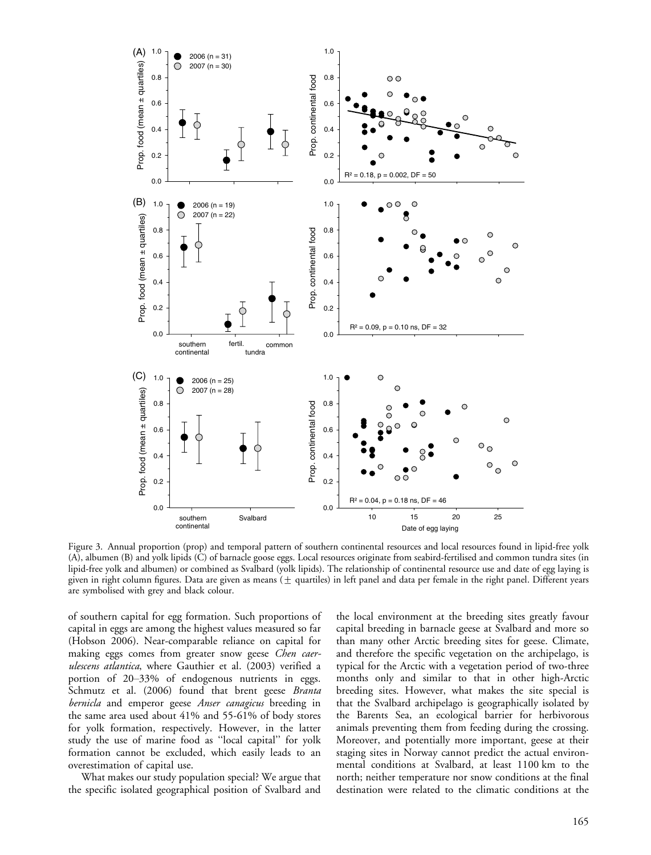

Figure 3. Annual proportion (prop) and temporal pattern of southern continental resources and local resources found in lipid-free yolk (A), albumen (B) and yolk lipids (C) of barnacle goose eggs. Local resources originate from seabird-fertilised and common tundra sites (in lipid-free yolk and albumen) or combined as Svalbard (yolk lipids). The relationship of continental resource use and date of egg laying is given in right column figures. Data are given as means ( $\pm$  quartiles) in left panel and data per female in the right panel. Different years are symbolised with grey and black colour.

of southern capital for egg formation. Such proportions of capital in eggs are among the highest values measured so far (Hobson 2006). Near-comparable reliance on capital for making eggs comes from greater snow geese *Chen caer*ulescens atlantica, where Gauthier et al. (2003) verified a portion of 20-33% of endogenous nutrients in eggs. Schmutz et al. (2006) found that brent geese Branta bernicla and emperor geese Anser canagicus breeding in the same area used about 41% and 55-61% of body stores for yolk formation, respectively. However, in the latter study the use of marine food as ''local capital'' for yolk formation cannot be excluded, which easily leads to an overestimation of capital use.

What makes our study population special? We argue that the specific isolated geographical position of Svalbard and the local environment at the breeding sites greatly favour capital breeding in barnacle geese at Svalbard and more so than many other Arctic breeding sites for geese. Climate, and therefore the specific vegetation on the archipelago, is typical for the Arctic with a vegetation period of two-three months only and similar to that in other high-Arctic breeding sites. However, what makes the site special is that the Svalbard archipelago is geographically isolated by the Barents Sea, an ecological barrier for herbivorous animals preventing them from feeding during the crossing. Moreover, and potentially more important, geese at their staging sites in Norway cannot predict the actual environmental conditions at Svalbard, at least 1100 km to the north; neither temperature nor snow conditions at the final destination were related to the climatic conditions at the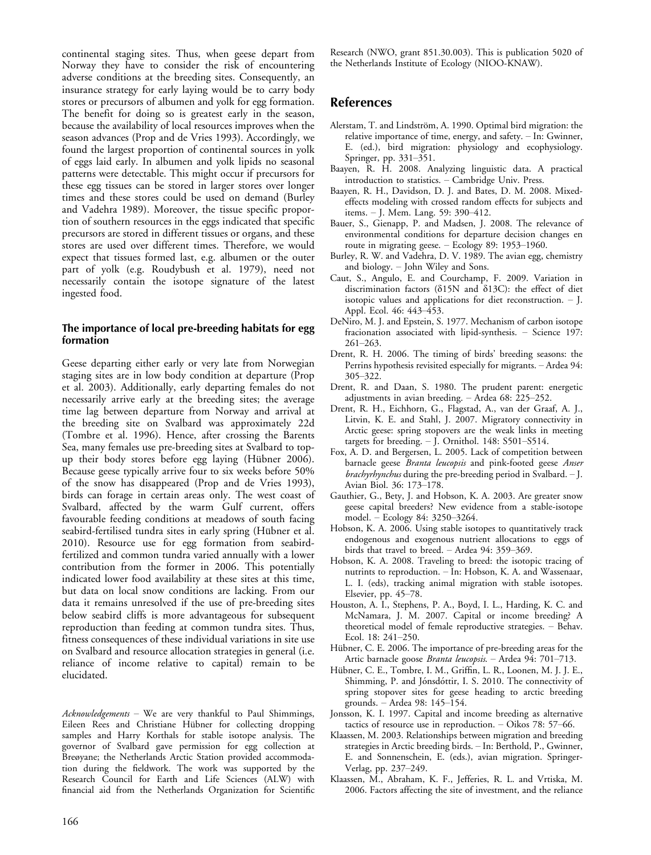continental staging sites. Thus, when geese depart from Norway they have to consider the risk of encountering adverse conditions at the breeding sites. Consequently, an insurance strategy for early laying would be to carry body stores or precursors of albumen and yolk for egg formation. The benefit for doing so is greatest early in the season, because the availability of local resources improves when the season advances (Prop and de Vries 1993). Accordingly, we found the largest proportion of continental sources in yolk of eggs laid early. In albumen and yolk lipids no seasonal patterns were detectable. This might occur if precursors for these egg tissues can be stored in larger stores over longer times and these stores could be used on demand (Burley and Vadehra 1989). Moreover, the tissue specific proportion of southern resources in the eggs indicated that specific precursors are stored in different tissues or organs, and these stores are used over different times. Therefore, we would expect that tissues formed last, e.g. albumen or the outer part of yolk (e.g. Roudybush et al. 1979), need not necessarily contain the isotope signature of the latest ingested food.

#### The importance of local pre-breeding habitats for egg formation

Geese departing either early or very late from Norwegian staging sites are in low body condition at departure (Prop et al. 2003). Additionally, early departing females do not necessarily arrive early at the breeding sites; the average time lag between departure from Norway and arrival at the breeding site on Svalbard was approximately 22d (Tombre et al. 1996). Hence, after crossing the Barents Sea, many females use pre-breeding sites at Svalbard to topup their body stores before egg laying (Hübner 2006). Because geese typically arrive four to six weeks before 50% of the snow has disappeared (Prop and de Vries 1993), birds can forage in certain areas only. The west coast of Svalbard, affected by the warm Gulf current, offers favourable feeding conditions at meadows of south facing seabird-fertilised tundra sites in early spring (Hübner et al. 2010). Resource use for egg formation from seabirdfertilized and common tundra varied annually with a lower contribution from the former in 2006. This potentially indicated lower food availability at these sites at this time, but data on local snow conditions are lacking. From our data it remains unresolved if the use of pre-breeding sites below seabird cliffs is more advantageous for subsequent reproduction than feeding at common tundra sites. Thus, fitness consequences of these individual variations in site use on Svalbard and resource allocation strategies in general (i.e. reliance of income relative to capital) remain to be elucidated.

 $Acknowledgements$  - We are very thankful to Paul Shimmings, Eileen Rees and Christiane Hübner for collecting dropping samples and Harry Korthals for stable isotope analysis. The governor of Svalbard gave permission for egg collection at Breøyane; the Netherlands Arctic Station provided accommodation during the fieldwork. The work was supported by the Research Council for Earth and Life Sciences (ALW) with financial aid from the Netherlands Organization for Scientific Research (NWO, grant 851.30.003). This is publication 5020 of the Netherlands Institute of Ecology (NIOO-KNAW).

# References

- Alerstam, T. and Lindström, A. 1990. Optimal bird migration: the relative importance of time, energy, and safety. - In: Gwinner, E. (ed.), bird migration: physiology and ecophysiology. Springer, pp. 331–351.
- Baayen, R. H. 2008. Analyzing linguistic data. A practical introduction to statistics. Cambridge Univ. Press.
- Baayen, R. H., Davidson, D. J. and Bates, D. M. 2008. Mixedeffects modeling with crossed random effects for subjects and items. - J. Mem. Lang. 59: 390-412.
- Bauer, S., Gienapp, P. and Madsen, J. 2008. The relevance of environmental conditions for departure decision changes en route in migrating geese.  $-$  Ecology 89: 1953–1960.
- Burley, R. W. and Vadehra, D. V. 1989. The avian egg, chemistry and biology. John Wiley and Sons.
- Caut, S., Angulo, E. and Courchamp, F. 2009. Variation in discrimination factors ( $\delta$ 15N and  $\delta$ 13C): the effect of diet isotopic values and applications for diet reconstruction.  $-$  J. Appl. Ecol. 46: 443-453.
- DeNiro, M. J. and Epstein, S. 1977. Mechanism of carbon isotope fracionation associated with lipid-synthesis.  $-$  Science 197:  $261 - 263.$
- Drent, R. H. 2006. The timing of birds' breeding seasons: the Perrins hypothesis revisited especially for migrants. - Ardea 94: 305-322.
- Drent, R. and Daan, S. 1980. The prudent parent: energetic adjustments in avian breeding.  $-$  Ardea 68: 225–252.
- Drent, R. H., Eichhorn, G., Flagstad, A., van der Graaf, A. J., Litvin, K. E. and Stahl, J. 2007. Migratory connectivity in Arctic geese: spring stopovers are the weak links in meeting targets for breeding.  $-$  J. Ornithol. 148: S501-S514.
- Fox, A. D. and Bergersen, L. 2005. Lack of competition between barnacle geese *Branta leucopsis* and pink-footed geese *Anser* brachyrhynchus during the pre-breeding period in Svalbard. - J. Avian Biol. 36: 173-178.
- Gauthier, G., Bety, J. and Hobson, K. A. 2003. Are greater snow geese capital breeders? New evidence from a stable-isotope model. - Ecology 84: 3250-3264.
- Hobson, K. A. 2006. Using stable isotopes to quantitatively track endogenous and exogenous nutrient allocations to eggs of birds that travel to breed.  $-$  Ardea 94: 359-369.
- Hobson, K. A. 2008. Traveling to breed: the isotopic tracing of nutrints to reproduction. - In: Hobson, K. A. and Wassenaar, L. I. (eds), tracking animal migration with stable isotopes. Elsevier, pp. 45-78.
- Houston, A. I., Stephens, P. A., Boyd, I. L., Harding, K. C. and McNamara, J. M. 2007. Capital or income breeding? A theoretical model of female reproductive strategies. - Behav. Ecol. 18: 241-250.
- Hübner, C. E. 2006. The importance of pre-breeding areas for the Artic barnacle goose Branta leucopsis. - Ardea 94: 701-713.
- Hübner, C. E., Tombre, I. M., Griffin, L. R., Loonen, M. J. J. E., Shimming, P. and Jónsdóttir, I. S. 2010. The connectivity of spring stopover sites for geese heading to arctic breeding grounds. - Ardea 98: 145-154.
- Jonsson, K. I. 1997. Capital and income breeding as alternative tactics of resource use in reproduction.  $-$  Oikos 78: 57–66.
- Klaassen, M. 2003. Relationships between migration and breeding strategies in Arctic breeding birds. - In: Berthold, P., Gwinner, E. and Sonnenschein, E. (eds.), avian migration. Springer-Verlag, pp. 237-249.
- Klaassen, M., Abraham, K. F., Jefferies, R. L. and Vrtiska, M. 2006. Factors affecting the site of investment, and the reliance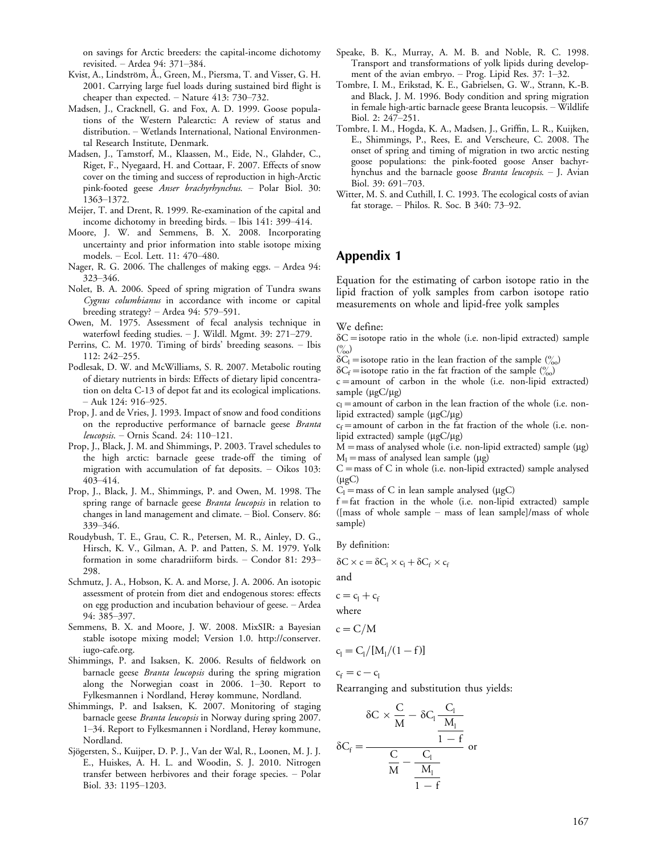on savings for Arctic breeders: the capital-income dichotomy revisited. - Ardea 94: 371-384.

- Kvist, A., Lindström, Å., Green, M., Piersma, T. and Visser, G. H. 2001. Carrying large fuel loads during sustained bird flight is cheaper than expected.  $-$  Nature 413: 730-732.
- Madsen, J., Cracknell, G. and Fox, A. D. 1999. Goose populations of the Western Palearctic: A review of status and distribution. Wetlands International, National Environmental Research Institute, Denmark.
- Madsen, J., Tamstorf, M., Klaassen, M., Eide, N., Glahder, C., Riget, F., Nyegaard, H. and Cottaar, F. 2007. Effects of snow cover on the timing and success of reproduction in high-Arctic pink-footed geese Anser brachyrhynchus. Polar Biol. 30: 1363-1372.
- Meijer, T. and Drent, R. 1999. Re-examination of the capital and income dichotomy in breeding birds. - Ibis 141: 399-414.
- Moore, J. W. and Semmens, B. X. 2008. Incorporating uncertainty and prior information into stable isotope mixing models. - Ecol. Lett. 11: 470-480.
- Nager, R. G. 2006. The challenges of making eggs. Ardea 94: 323-346.
- Nolet, B. A. 2006. Speed of spring migration of Tundra swans Cygnus columbianus in accordance with income or capital breeding strategy? - Ardea 94: 579-591.
- Owen, M. 1975. Assessment of fecal analysis technique in waterfowl feeding studies.  $-$  I. Wildl. Mgmt. 39: 271-279.
- Perrins, C. M. 1970. Timing of birds' breeding seasons. Ibis 112: 242-255.
- Podlesak, D. W. and McWilliams, S. R. 2007. Metabolic routing of dietary nutrients in birds: Effects of dietary lipid concentration on delta C-13 of depot fat and its ecological implications.  $-$  Auk 124: 916-925.
- Prop, J. and de Vries, J. 1993. Impact of snow and food conditions on the reproductive performance of barnacle geese Branta leucopsis. - Ornis Scand. 24: 110-121.
- Prop, J., Black, J. M. and Shimmings, P. 2003. Travel schedules to the high arctic: barnacle geese trade-off the timing of migration with accumulation of fat deposits. - Oikos 103: 403-414.
- Prop, J., Black, J. M., Shimmings, P. and Owen, M. 1998. The spring range of barnacle geese *Branta leucopsis* in relation to changes in land management and climate. - Biol. Conserv. 86: 339-346.
- Roudybush, T. E., Grau, C. R., Petersen, M. R., Ainley, D. G., Hirsch, K. V., Gilman, A. P. and Patten, S. M. 1979. Yolk formation in some charadriiform birds. - Condor 81: 293-298.
- Schmutz, J. A., Hobson, K. A. and Morse, J. A. 2006. An isotopic assessment of protein from diet and endogenous stores: effects on egg production and incubation behaviour of geese. Ardea 94: 385-397.
- Semmens, B. X. and Moore, J. W. 2008. MixSIR: a Bayesian stable isotope mixing model; Version 1.0. [http://conserver.](http://conserver.iugo-cafe.org) [iugo-cafe.org](http://conserver.iugo-cafe.org).
- Shimmings, P. and Isaksen, K. 2006. Results of fieldwork on barnacle geese *Branta leucopsis* during the spring migration along the Norwegian coast in  $2006$ .  $1-30$ . Report to Fylkesmannen i Nordland, Herøy kommune, Nordland.
- Shimmings, P. and Isaksen, K. 2007. Monitoring of staging barnacle geese Branta leucopsis in Norway during spring 2007. 134. Report to Fylkesmannen i Nordland, Herøy kommune, Nordland.
- Sjögersten, S., Kuijper, D. P. J., Van der Wal, R., Loonen, M. J. J. E., Huiskes, A. H. L. and Woodin, S. J. 2010. Nitrogen transfer between herbivores and their forage species. Polar Biol. 33: 1195-1203.
- Speake, B. K., Murray, A. M. B. and Noble, R. C. 1998. Transport and transformations of yolk lipids during development of the avian embryo.  $-$  Prog. Lipid Res. 37: 1–32.
- Tombre, I. M., Erikstad, K. E., Gabrielsen, G. W., Strann, K.-B. and Black, J. M. 1996. Body condition and spring migration in female high-artic barnacle geese Branta leucopsis. Wildlife Biol. 2: 247-251.
- Tombre, I. M., Hogda, K. A., Madsen, J., Griffin, L. R., Kuijken, E., Shimmings, P., Rees, E. and Verscheure, C. 2008. The onset of spring and timing of migration in two arctic nesting goose populations: the pink-footed goose Anser bachyrhynchus and the barnacle goose *Branta leucopsis*. - J. Avian Biol. 39: 691-703.
- Witter, M. S. and Cuthill, I. C. 1993. The ecological costs of avian fat storage.  $-$  Philos. R. Soc. B 340: 73-92.

# Appendix 1

Equation for the estimating of carbon isotope ratio in the lipid fraction of yolk samples from carbon isotope ratio measurements on whole and lipid-free yolk samples

We define:

 $\delta C$  = isotope ratio in the whole (i.e. non-lipid extracted) sample  $\binom{0}{00}$ 

 $\delta C_1$  = isotope ratio in the lean fraction of the sample  $\binom{0}{00}$ 

 $\delta C_f$  = isotope ratio in the fat fraction of the sample ( $\%$ )

 $c =$ amount of carbon in the whole (i.e. non-lipid extracted) sample  $(\mu g C / \mu g)$ 

 $c_l$  = amount of carbon in the lean fraction of the whole (i.e. nonlipid extracted) sample  $(\mu g C / \mu g)$ 

 $c_f$ =amount of carbon in the fat fraction of the whole (i.e. nonlipid extracted) sample  $(\mu g C / \mu g)$ 

 $M =$  mass of analysed whole (i.e. non-lipid extracted) sample ( $\mu$ g)  $M_l$  = mass of analysed lean sample ( $\mu$ g)

 $C =$  mass of C in whole (i.e. non-lipid extracted) sample analysed  $(\mu gC)$ 

 $C_1$  = mass of C in lean sample analysed ( $\mu$ gC)

 $f = fat$  fraction in the whole (i.e. non-lipid extracted) sample ([mass of whole sample  $-$  mass of lean sample]/mass of whole sample)

By definition:

$$
\delta C \times c = \delta C_l \times c_l + \delta C_f \times c_f
$$

and

 $c=c_1+c_1$ 

where

$$
c = C/M
$$

$$
c_l = C_l/[M_l/(1-f)]
$$

 $c_f = c - c_l$ 

Rearranging and substitution thus yields:

$$
\delta C \times \frac{C}{M} - \delta C_1 \frac{C_1}{\frac{M_1}{M_1}}
$$

$$
\delta C_f = \frac{C}{\frac{C}{M} - \frac{C_1}{\frac{M_1}{M_1}}} \text{ or }
$$